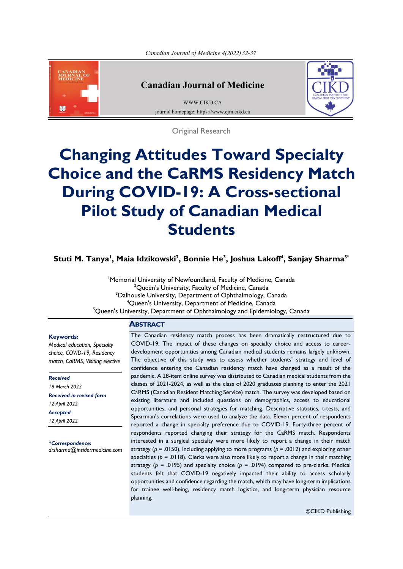<span id="page-0-0"></span>

## **Canadian Journal of Medicine**

[WWW.CIKD.CA](http://www.cikd.ca/) journal homepage: https://www.cjm.cikd.ca



Original Research

# **Changing Attitudes Toward Specialty Choice and the CaRMS Residency Match During COVID-19: A Cross-sectional Pilot Study of Canadian Medical Students**

**5\* , Sanjay Sharma <sup>4</sup> , Joshua Lakoff <sup>3</sup> , Bonnie He <sup>2</sup> , Maia Idzikowski <sup>1</sup> Stuti M. Tanya**

1 Memorial University of Newfoundland, Faculty of Medicine, Canada  $^{2}$ Queen's University, Faculty of Medicine, Canada <sup>3</sup>Dalhousie University, Department of Ophthalmology, Canada 4 Queen's University, Department of Medicine, Canada <sup>5</sup>Queen's University, Department of Ophthalmology and Epidemiology, Canada

#### **ABSTRACT**

#### **Keywords:**

*Medical education, Specialty choice, COVID-19, Residency match, CaRMS, Visiting elective*

*Received 18 March 2022 Received in revised form 12 April 2022 Accepted 12 April 2022*

*\*Correspondence: drsharma@insidermedicine.com* The Canadian residency match process has been dramatically restructured due to COVID-19. The impact of these changes on specialty choice and access to careerdevelopment opportunities among Canadian medical students remains largely unknown. The objective of this study was to assess whether students' strategy and level of confidence entering the Canadian residency match have changed as a result of the pandemic. A 28-item online survey was distributed to Canadian medical students from the classes of 2021-2024, as well as the class of 2020 graduates planning to enter the 2021 CaRMS (Canadian Resident Matching Service) match. The survey was developed based on existing literature and included questions on demographics, access to educational opportunities, and personal strategies for matching. Descriptive statistics, t-tests, and Spearman's correlations were used to analyze the data. Eleven percent of respondents reported a change in specialty preference due to COVID-19. Forty-three percent of respondents reported changing their strategy for the CaRMS match. Respondents interested in a surgical specialty were more likely to report a change in their match strategy ( $p = .0150$ ), including applying to more programs ( $p = .0012$ ) and exploring other specialties ( $p = .0118$ ). Clerks were also more likely to report a change in their matching strategy ( $p = .0195$ ) and specialty choice ( $p = .0194$ ) compared to pre-clerks. Medical students felt that COVID-19 negatively impacted their ability to access scholarly opportunities and confidence regarding the match, which may have long-term implications for trainee well-being, residency match logistics, and long-term physician resource planning.

©CIKD Publishing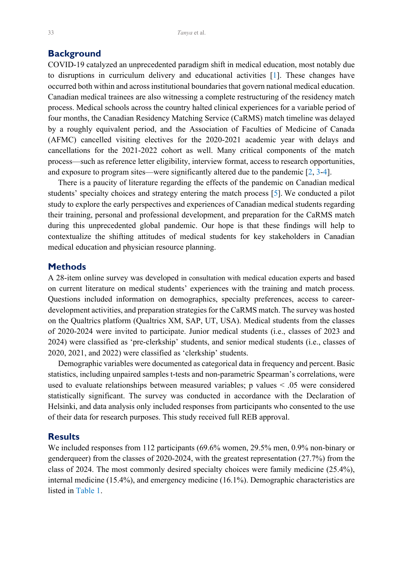## <span id="page-1-0"></span>**Background**

COVID-19 catalyzed an unprecedented paradigm shift in medical education, most notably due to disruptions in curriculum delivery and educational activities [\[1](#page-5-0)]. These changes have occurred both within and across institutional boundaries that govern national medical education. Canadian medical trainees are also witnessing a complete restructuring of the residency match process. Medical schools across the country halted clinical experiences for a variable period of four months, the Canadian Residency Matching Service (CaRMS) match timeline was delayed by a roughly equivalent period, and the Association of Faculties of Medicine of Canada (AFMC) cancelled visiting electives for the 2020-2021 academic year with delays and cancellations for the 2021-2022 cohort as well. Many critical components of the match process—such as reference letter eligibility, interview format, access to research opportunities, and exposure to program sites—were significantly altered due to the pandemic  $[2, 3-4]$  $[2, 3-4]$  $[2, 3-4]$  $[2, 3-4]$ .

 There is a paucity of literature regarding the effects of the pandemic on Canadian medical students' specialty choices and strategy entering the match process [[5\]](#page-5-0). We conducted a pilot study to explore the early perspectives and experiences of Canadian medical students regarding their training, personal and professional development, and preparation for the CaRMS match during this unprecedented global pandemic. Our hope is that these findings will help to contextualize the shifting attitudes of medical students for key stakeholders in Canadian medical education and physician resource planning.

### **Methods**

A 28-item online survey was developed in consultation with medical education experts and based on current literature on medical students' experiences with the training and match process. Questions included information on demographics, specialty preferences, access to careerdevelopment activities, and preparation strategies for the CaRMS match. The survey was hosted on the Qualtrics platform (Qualtrics XM, SAP, UT, USA). Medical students from the classes of 2020-2024 were invited to participate. Junior medical students (i.e., classes of 2023 and 2024) were classified as 'pre-clerkship' students, and senior medical students (i.e., classes of 2020, 2021, and 2022) were classified as 'clerkship' students.

 Demographic variables were documented as categorical data in frequency and percent. Basic statistics, including unpaired samples t-tests and non-parametric Spearman's correlations, were used to evaluate relationships between measured variables; p values < .05 were considered statistically significant. The survey was conducted in accordance with the Declaration of Helsinki, and data analysis only included responses from participants who consented to the use of their data for research purposes. This study received full REB approval.

#### **Results**

We included responses from 112 participants (69.6% women, 29.5% men, 0.9% non-binary or genderqueer) from the classes of 2020-2024, with the greatest representation (27.7%) from the class of 2024. The most commonly desired specialty choices were family medicine (25.4%), internal medicine (15.4%), and emergency medicine (16.1%). Demographic characteristics are listed in Table 1.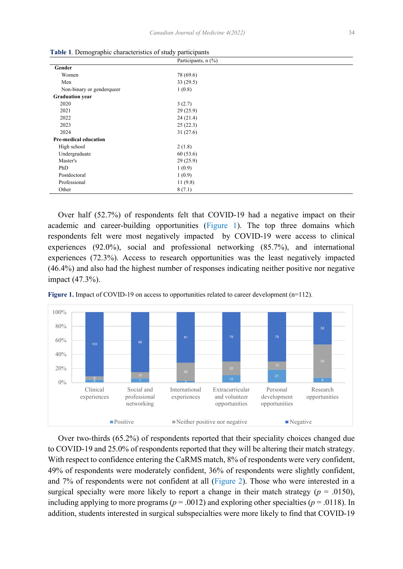|                              | Participants, n (%) |  |
|------------------------------|---------------------|--|
| Gender                       |                     |  |
| Women                        | 78 (69.6)           |  |
| Men                          | 33(29.5)            |  |
| Non-binary or genderqueer    | 1(0.8)              |  |
| <b>Graduation year</b>       |                     |  |
| 2020                         | 3(2.7)              |  |
| 2021                         | 29(25.9)            |  |
| 2022                         | 24(21.4)            |  |
| 2023                         | 25(22.3)            |  |
| 2024                         | 31(27.6)            |  |
| <b>Pre-medical education</b> |                     |  |
| High school                  | 2(1.8)              |  |
| Undergraduate                | 60(53.6)            |  |
| Master's                     | 29(25.9)            |  |
| PhD                          | 1(0.9)              |  |
| Postdoctoral                 | 1(0.9)              |  |
| Professional                 | 11(9.8)             |  |
| Other                        | 8(7.1)              |  |

**Table 1***.* Demographic characteristics of study participants

 Over half (52.7%) of respondents felt that COVID-19 had a negative impact on their academic and career-building opportunities (Figure 1). The top three domains which respondents felt were most negatively impacted by COVID-19 were access to clinical experiences (92.0%), social and professional networking (85.7%), and international experiences (72.3%). Access to research opportunities was the least negatively impacted (46.4%) and also had the highest number of responses indicating neither positive nor negative impact (47.3%).





Over two-thirds (65.2%) of respondents reported that their speciality choices changed due to COVID-19 and 25.0% of respondents reported that they will be altering their match strategy. With respect to confidence entering the CaRMS match, 8% of respondents were very confident, 49% of respondents were moderately confident, 36% of respondents were slightly confident, and 7% of respondents were not confident at all [\(Figure 2](#page-3-0)). Those who were interested in a surgical specialty were more likely to report a change in their match strategy ( $p = .0150$ ), including applying to more programs ( $p = .0012$ ) and exploring other specialties ( $p = .0118$ ). In addition, students interested in surgical subspecialties were more likely to find that COVID-19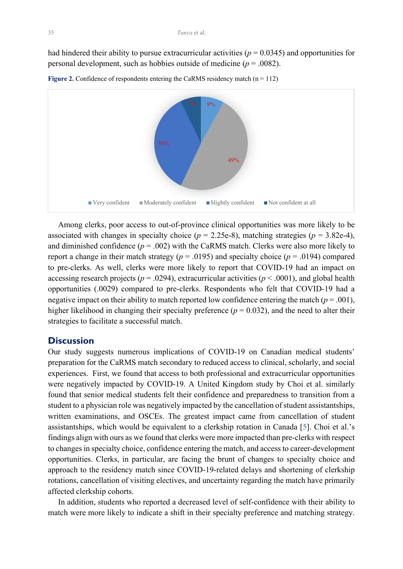<span id="page-3-0"></span>had hindered their ability to pursue extracurricular activities ( $p = 0.0345$ ) and opportunities for personal development, such as hobbies outside of medicine (*p* = .0082).



**Figure 2.** Confidence of respondents entering the CaRMS residency match  $(n = 112)$ 

 Among clerks, poor access to out-of-province clinical opportunities was more likely to be associated with changes in specialty choice ( $p = 2.25e-8$ ), matching strategies ( $p = 3.82e-4$ ), and diminished confidence  $(p = .002)$  with the CaRMS match. Clerks were also more likely to report a change in their match strategy ( $p = .0195$ ) and specialty choice ( $p = .0194$ ) compared to pre-clerks. As well, clerks were more likely to report that COVID-19 had an impact on accessing research projects ( $p = .0294$ ), extracurricular activities ( $p < .0001$ ), and global health opportunities (.0029) compared to pre-clerks. Respondents who felt that COVID-19 had a negative impact on their ability to match reported low confidence entering the match ( $p = .001$ ), higher likelihood in changing their specialty preference ( $p = 0.032$ ), and the need to alter their strategies to facilitate a successful match.

## **Discussion**

Our study suggests numerous implications of COVID-19 on Canadian medical students' preparation for the CaRMS match secondary to reduced access to clinical, scholarly, and social experiences. First, we found that access to both professional and extracurricular opportunities were negatively impacted by COVID-19. A United Kingdom study by Choi et al. similarly found that senior medical students felt their confidence and preparedness to transition from a student to a physician role was negatively impacted by the cancellation of student assistantships, written examinations, and OSCEs. The greatest impact came from cancellation of student assistantships, which would be equivalent to a clerkship rotation in Canada [[5\]](#page-5-0). Choi et al.'s findings align with ours as we found that clerks were more impacted than pre-clerks with respect to changes in specialty choice, confidence entering the match, and access to career-development opportunities. Clerks, in particular, are facing the brunt of changes to specialty choice and approach to the residency match since COVID-19-related delays and shortening of clerkship rotations, cancellation of visiting electives, and uncertainty regarding the match have primarily affected clerkship cohorts.

 In addition, students who reported a decreased level of self-confidence with their ability to match were more likely to indicate a shift in their specialty preference and matching strategy.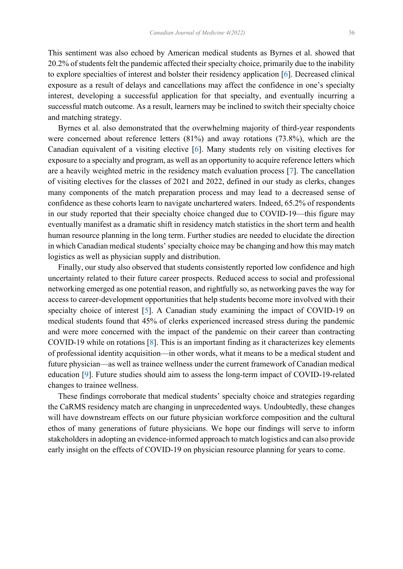<span id="page-4-0"></span>This sentiment was also echoed by American medical students as Byrnes et al. showed that 20.2% of students felt the pandemic affected their specialty choice, primarily due to the inability to explore specialties of interest and bolster their residency application [[6\]](#page-5-0). Decreased clinical exposure as a result of delays and cancellations may affect the confidence in one's specialty interest, developing a successful application for that specialty, and eventually incurring a successful match outcome. As a result, learners may be inclined to switch their specialty choice and matching strategy.

 Byrnes et al. also demonstrated that the overwhelming majority of third-year respondents were concerned about reference letters (81%) and away rotations (73.8%), which are the Canadian equivalent of a visiting elective [[6\]](#page-5-0). Many students rely on visiting electives for exposure to a specialty and program, as well as an opportunity to acquire reference letters which are a heavily weighted metric in the residency match evaluation process [\[7](#page-5-0)]. The cancellation of visiting electives for the classes of 2021 and 2022, defined in our study as clerks, changes many components of the match preparation process and may lead to a decreased sense of confidence as these cohorts learn to navigate unchartered waters. Indeed, 65.2% of respondents in our study reported that their specialty choice changed due to COVID-19—this figure may eventually manifest as a dramatic shift in residency match statistics in the short term and health human resource planning in the long term. Further studies are needed to elucidate the direction in which Canadian medical students' specialty choice may be changing and how this may match logistics as well as physician supply and distribution.

 Finally, our study also observed that students consistently reported low confidence and high uncertainty related to their future career prospects. Reduced access to social and professional networking emerged as one potential reason, and rightfully so, as networking paves the way for access to career-development opportunities that help students become more involved with their specialty choice of interest [[5\]](#page-5-0). A Canadian study examining the impact of COVID-19 on medical students found that 45% of clerks experienced increased stress during the pandemic and were more concerned with the impact of the pandemic on their career than contracting COVID-19 while on rotations [\[8](#page-5-0)]. This is an important finding as it characterizes key elements of professional identity acquisition—in other words, what it means to be a medical student and future physician—as well as trainee wellness under the current framework of Canadian medical education [\[9](#page-5-0)]. Future studies should aim to assess the long-term impact of COVID-19-related changes to trainee wellness.

 These findings corroborate that medical students' specialty choice and strategies regarding the CaRMS residency match are changing in unprecedented ways. Undoubtedly, these changes will have downstream effects on our future physician workforce composition and the cultural ethos of many generations of future physicians. We hope our findings will serve to inform stakeholders in adopting an evidence-informed approach to match logistics and can also provide early insight on the effects of COVID-19 on physician resource planning for years to come.